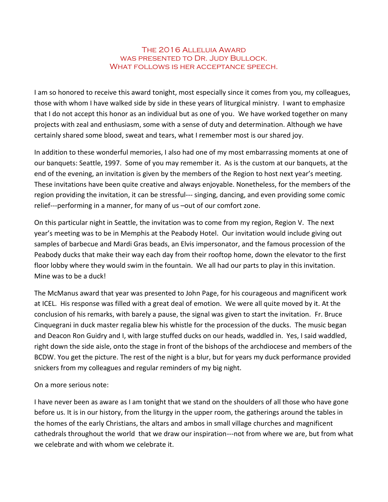## The 2016 Alleluia Award was presented to Dr. Judy Bullock. WHAT FOLLOWS IS HER ACCEPTANCE SPEECH.

I am so honored to receive this award tonight, most especially since it comes from you, my colleagues, those with whom I have walked side by side in these years of liturgical ministry. I want to emphasize that I do not accept this honor as an individual but as one of you. We have worked together on many projects with zeal and enthusiasm, some with a sense of duty and determination. Although we have certainly shared some blood, sweat and tears, what I remember most is our shared joy.

In addition to these wonderful memories, I also had one of my most embarrassing moments at one of our banquets: Seattle, 1997. Some of you may remember it. As is the custom at our banquets, at the end of the evening, an invitation is given by the members of the Region to host next year's meeting. These invitations have been quite creative and always enjoyable. Nonetheless, for the members of the region providing the invitation, it can be stressful--- singing, dancing, and even providing some comic relief---performing in a manner, for many of us –out of our comfort zone.

On this particular night in Seattle, the invitation was to come from my region, Region V. The next year's meeting was to be in Memphis at the Peabody Hotel. Our invitation would include giving out samples of barbecue and Mardi Gras beads, an Elvis impersonator, and the famous procession of the Peabody ducks that make their way each day from their rooftop home, down the elevator to the first floor lobby where they would swim in the fountain. We all had our parts to play in this invitation. Mine was to be a duck!

The McManus award that year was presented to John Page, for his courageous and magnificent work at ICEL. His response was filled with a great deal of emotion. We were all quite moved by it. At the conclusion of his remarks, with barely a pause, the signal was given to start the invitation. Fr. Bruce Cinquegrani in duck master regalia blew his whistle for the procession of the ducks. The music began and Deacon Ron Guidry and I, with large stuffed ducks on our heads, waddled in. Yes, I said waddled, right down the side aisle, onto the stage in front of the bishops of the archdiocese and members of the BCDW. You get the picture. The rest of the night is a blur, but for years my duck performance provided snickers from my colleagues and regular reminders of my big night.

On a more serious note:

I have never been as aware as I am tonight that we stand on the shoulders of all those who have gone before us. It is in our history, from the liturgy in the upper room, the gatherings around the tables in the homes of the early Christians, the altars and ambos in small village churches and magnificent cathedrals throughout the world that we draw our inspiration---not from where we are, but from what we celebrate and with whom we celebrate it.